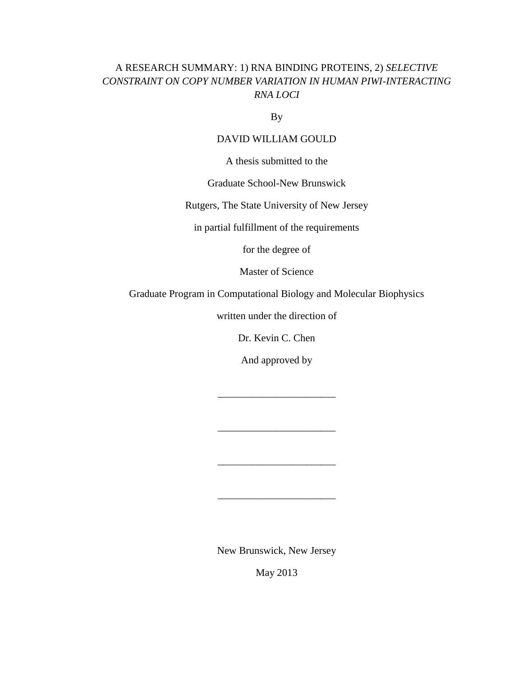## A RESEARCH SUMMARY: 1) RNA BINDING PROTEINS, 2) *SELECTIVE CONSTRAINT ON COPY NUMBER VARIATION IN HUMAN PIWI-INTERACTING RNA LOCI*

By

### DAVID WILLIAM GOULD

A thesis submitted to the

### Graduate School-New Brunswick

Rutgers, The State University of New Jersey

in partial fulfillment of the requirements

for the degree of

Master of Science

Graduate Program in Computational Biology and Molecular Biophysics

written under the direction of

Dr. Kevin C. Chen

And approved by

\_\_\_\_\_\_\_\_\_\_\_\_\_\_\_\_\_\_\_\_\_\_\_\_

\_\_\_\_\_\_\_\_\_\_\_\_\_\_\_\_\_\_\_\_\_\_\_\_

\_\_\_\_\_\_\_\_\_\_\_\_\_\_\_\_\_\_\_\_\_\_\_\_

\_\_\_\_\_\_\_\_\_\_\_\_\_\_\_\_\_\_\_\_\_\_\_\_

New Brunswick, New Jersey

May 2013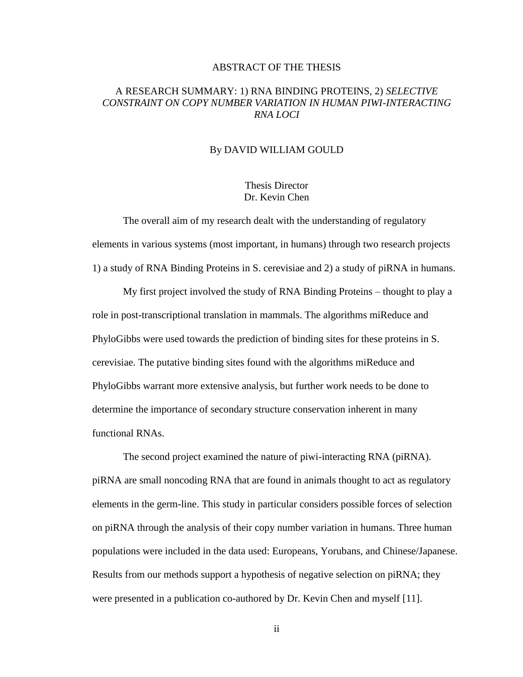### ABSTRACT OF THE THESIS

### A RESEARCH SUMMARY: 1) RNA BINDING PROTEINS, 2) *SELECTIVE CONSTRAINT ON COPY NUMBER VARIATION IN HUMAN PIWI-INTERACTING RNA LOCI*

### By DAVID WILLIAM GOULD

### Thesis Director Dr. Kevin Chen

The overall aim of my research dealt with the understanding of regulatory elements in various systems (most important, in humans) through two research projects 1) a study of RNA Binding Proteins in S. cerevisiae and 2) a study of piRNA in humans.

My first project involved the study of RNA Binding Proteins – thought to play a role in post-transcriptional translation in mammals. The algorithms miReduce and PhyloGibbs were used towards the prediction of binding sites for these proteins in S. cerevisiae. The putative binding sites found with the algorithms miReduce and PhyloGibbs warrant more extensive analysis, but further work needs to be done to determine the importance of secondary structure conservation inherent in many functional RNAs.

The second project examined the nature of piwi-interacting RNA (piRNA). piRNA are small noncoding RNA that are found in animals thought to act as regulatory elements in the germ-line. This study in particular considers possible forces of selection on piRNA through the analysis of their copy number variation in humans. Three human populations were included in the data used: Europeans, Yorubans, and Chinese/Japanese. Results from our methods support a hypothesis of negative selection on piRNA; they were presented in a publication co-authored by Dr. Kevin Chen and myself [11].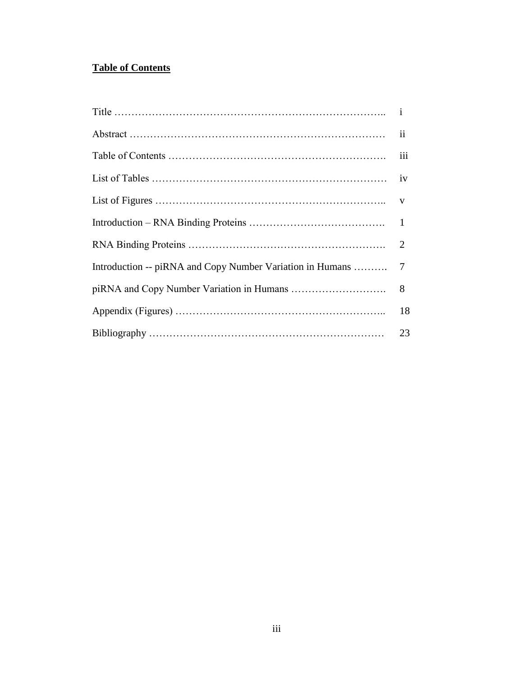# **Table of Contents**

|                                                           | ii     |
|-----------------------------------------------------------|--------|
|                                                           | iii    |
|                                                           | iv     |
|                                                           |        |
|                                                           |        |
|                                                           |        |
| Introduction -- piRNA and Copy Number Variation in Humans | $\tau$ |
|                                                           | 8      |
|                                                           | 18     |
|                                                           | 23     |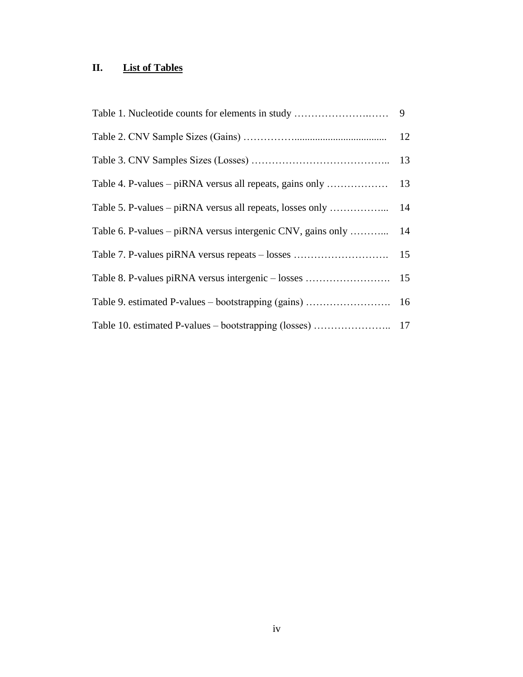# **II. List of Tables**

|                                                             | 12 |
|-------------------------------------------------------------|----|
|                                                             | 13 |
|                                                             |    |
| Table 5. P-values – piRNA versus all repeats, losses only   | 14 |
| Table 6. P-values – piRNA versus intergenic CNV, gains only | 14 |
| Table 7. P-values piRNA versus repeats - losses             | 15 |
|                                                             |    |
|                                                             |    |
|                                                             |    |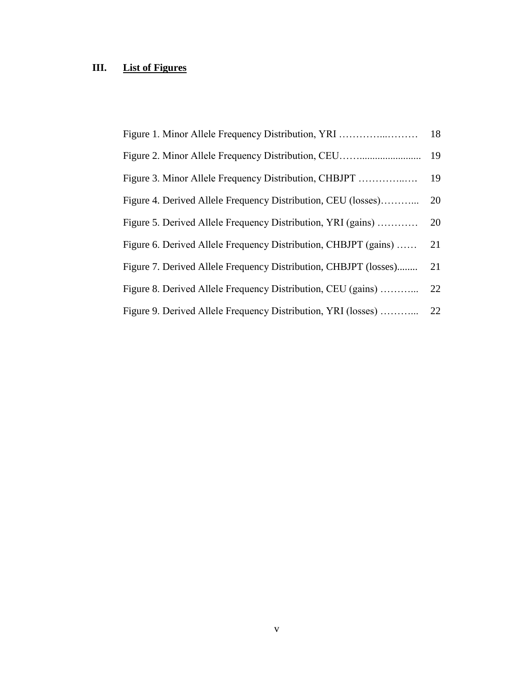# **III. List of Figures**

| Figure 1. Minor Allele Frequency Distribution, YRI               | 18 |
|------------------------------------------------------------------|----|
|                                                                  | 19 |
|                                                                  | 19 |
| Figure 4. Derived Allele Frequency Distribution, CEU (losses)    | 20 |
| Figure 5. Derived Allele Frequency Distribution, YRI (gains)     | 20 |
| Figure 6. Derived Allele Frequency Distribution, CHBJPT (gains)  | 21 |
| Figure 7. Derived Allele Frequency Distribution, CHBJPT (losses) | 21 |
| Figure 8. Derived Allele Frequency Distribution, CEU (gains)     | 22 |
| Figure 9. Derived Allele Frequency Distribution, YRI (losses)    | 22 |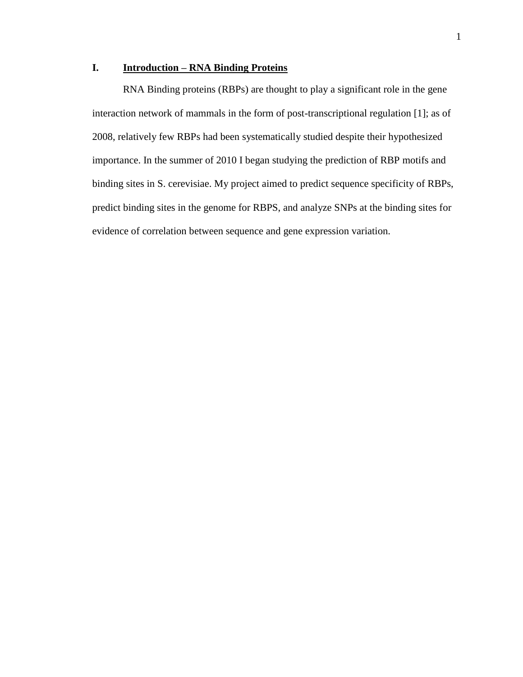## **I. Introduction – RNA Binding Proteins**

RNA Binding proteins (RBPs) are thought to play a significant role in the gene interaction network of mammals in the form of post-transcriptional regulation [1]; as of 2008, relatively few RBPs had been systematically studied despite their hypothesized importance. In the summer of 2010 I began studying the prediction of RBP motifs and binding sites in S. cerevisiae. My project aimed to predict sequence specificity of RBPs, predict binding sites in the genome for RBPS, and analyze SNPs at the binding sites for evidence of correlation between sequence and gene expression variation.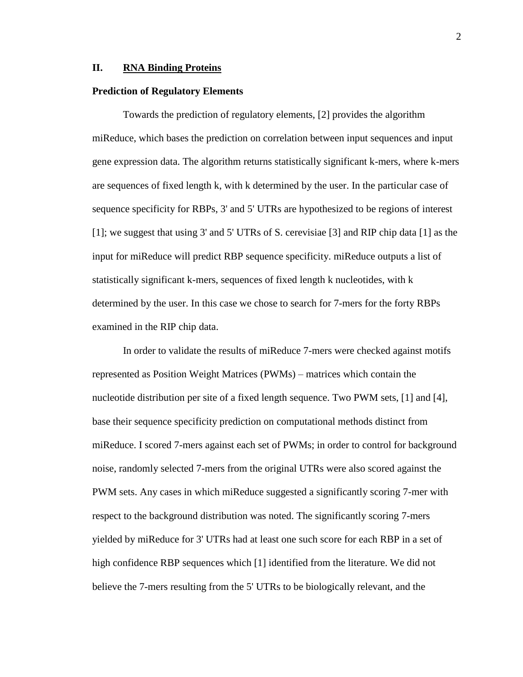#### **II. RNA Binding Proteins**

#### **Prediction of Regulatory Elements**

Towards the prediction of regulatory elements, [2] provides the algorithm miReduce, which bases the prediction on correlation between input sequences and input gene expression data. The algorithm returns statistically significant k-mers, where k-mers are sequences of fixed length k, with k determined by the user. In the particular case of sequence specificity for RBPs, 3' and 5' UTRs are hypothesized to be regions of interest [1]; we suggest that using 3' and 5' UTRs of S. cerevisiae [3] and RIP chip data [1] as the input for miReduce will predict RBP sequence specificity. miReduce outputs a list of statistically significant k-mers, sequences of fixed length k nucleotides, with k determined by the user. In this case we chose to search for 7-mers for the forty RBPs examined in the RIP chip data.

In order to validate the results of miReduce 7-mers were checked against motifs represented as Position Weight Matrices (PWMs) – matrices which contain the nucleotide distribution per site of a fixed length sequence. Two PWM sets, [1] and [4], base their sequence specificity prediction on computational methods distinct from miReduce. I scored 7-mers against each set of PWMs; in order to control for background noise, randomly selected 7-mers from the original UTRs were also scored against the PWM sets. Any cases in which miReduce suggested a significantly scoring 7-mer with respect to the background distribution was noted. The significantly scoring 7-mers yielded by miReduce for 3' UTRs had at least one such score for each RBP in a set of high confidence RBP sequences which [1] identified from the literature. We did not believe the 7-mers resulting from the 5' UTRs to be biologically relevant, and the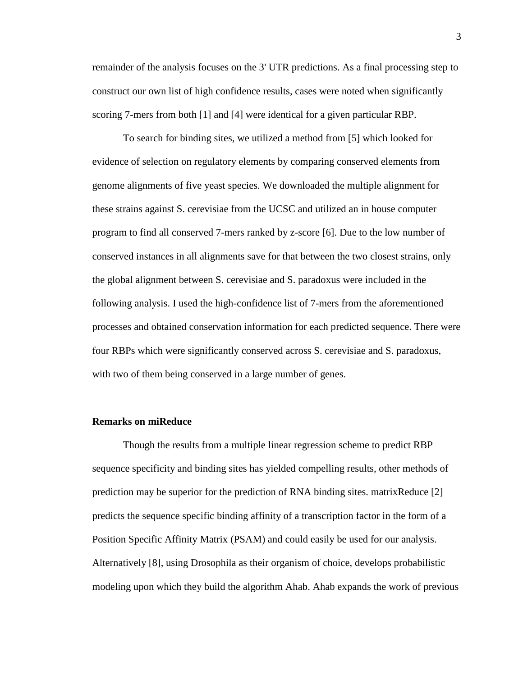remainder of the analysis focuses on the 3' UTR predictions. As a final processing step to construct our own list of high confidence results, cases were noted when significantly scoring 7-mers from both [1] and [4] were identical for a given particular RBP.

To search for binding sites, we utilized a method from [5] which looked for evidence of selection on regulatory elements by comparing conserved elements from genome alignments of five yeast species. We downloaded the multiple alignment for these strains against S. cerevisiae from the UCSC and utilized an in house computer program to find all conserved 7-mers ranked by z-score [6]. Due to the low number of conserved instances in all alignments save for that between the two closest strains, only the global alignment between S. cerevisiae and S. paradoxus were included in the following analysis. I used the high-confidence list of 7-mers from the aforementioned processes and obtained conservation information for each predicted sequence. There were four RBPs which were significantly conserved across S. cerevisiae and S. paradoxus, with two of them being conserved in a large number of genes.

### **Remarks on miReduce**

Though the results from a multiple linear regression scheme to predict RBP sequence specificity and binding sites has yielded compelling results, other methods of prediction may be superior for the prediction of RNA binding sites. matrixReduce [2] predicts the sequence specific binding affinity of a transcription factor in the form of a Position Specific Affinity Matrix (PSAM) and could easily be used for our analysis. Alternatively [8], using Drosophila as their organism of choice, develops probabilistic modeling upon which they build the algorithm Ahab. Ahab expands the work of previous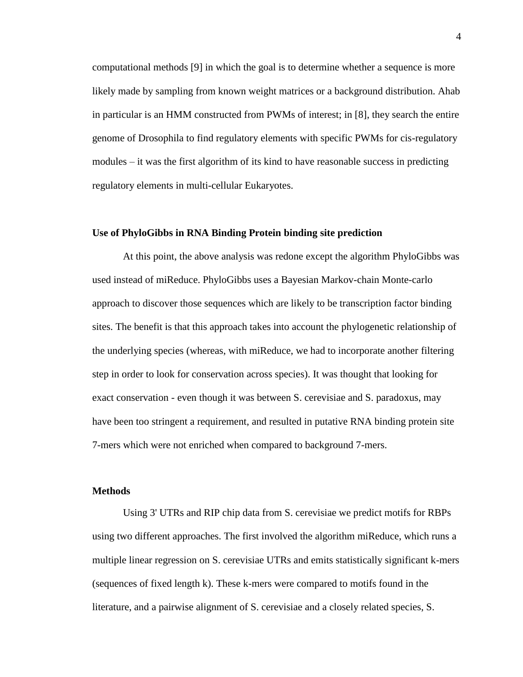computational methods [9] in which the goal is to determine whether a sequence is more likely made by sampling from known weight matrices or a background distribution. Ahab in particular is an HMM constructed from PWMs of interest; in [8], they search the entire genome of Drosophila to find regulatory elements with specific PWMs for cis-regulatory modules – it was the first algorithm of its kind to have reasonable success in predicting regulatory elements in multi-cellular Eukaryotes.

#### **Use of PhyloGibbs in RNA Binding Protein binding site prediction**

At this point, the above analysis was redone except the algorithm PhyloGibbs was used instead of miReduce. PhyloGibbs uses a Bayesian Markov-chain Monte-carlo approach to discover those sequences which are likely to be transcription factor binding sites. The benefit is that this approach takes into account the phylogenetic relationship of the underlying species (whereas, with miReduce, we had to incorporate another filtering step in order to look for conservation across species). It was thought that looking for exact conservation - even though it was between S. cerevisiae and S. paradoxus, may have been too stringent a requirement, and resulted in putative RNA binding protein site 7-mers which were not enriched when compared to background 7-mers.

### **Methods**

Using 3' UTRs and RIP chip data from S. cerevisiae we predict motifs for RBPs using two different approaches. The first involved the algorithm miReduce, which runs a multiple linear regression on S. cerevisiae UTRs and emits statistically significant k-mers (sequences of fixed length k). These k-mers were compared to motifs found in the literature, and a pairwise alignment of S. cerevisiae and a closely related species, S.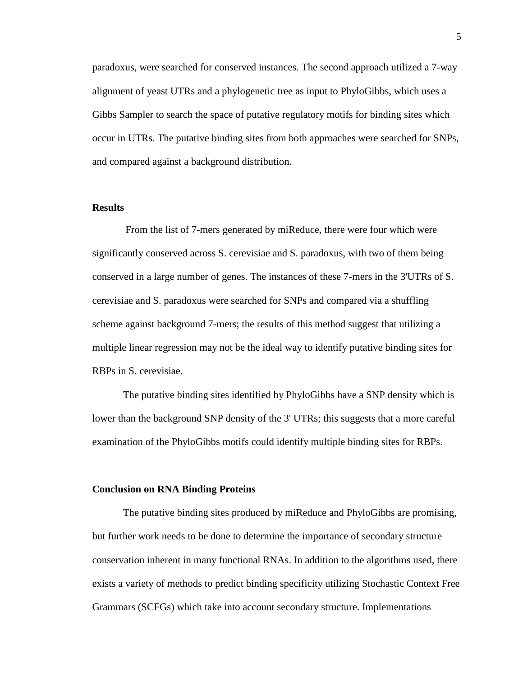paradoxus, were searched for conserved instances. The second approach utilized a 7-way alignment of yeast UTRs and a phylogenetic tree as input to PhyloGibbs, which uses a Gibbs Sampler to search the space of putative regulatory motifs for binding sites which occur in UTRs. The putative binding sites from both approaches were searched for SNPs, and compared against a background distribution.

#### **Results**

From the list of 7-mers generated by miReduce, there were four which were significantly conserved across S. cerevisiae and S. paradoxus, with two of them being conserved in a large number of genes. The instances of these 7-mers in the 3'UTRs of S. cerevisiae and S. paradoxus were searched for SNPs and compared via a shuffling scheme against background 7-mers; the results of this method suggest that utilizing a multiple linear regression may not be the ideal way to identify putative binding sites for RBPs in S. cerevisiae.

The putative binding sites identified by PhyloGibbs have a SNP density which is lower than the background SNP density of the 3' UTRs; this suggests that a more careful examination of the PhyloGibbs motifs could identify multiple binding sites for RBPs.

### **Conclusion on RNA Binding Proteins**

The putative binding sites produced by miReduce and PhyloGibbs are promising, but further work needs to be done to determine the importance of secondary structure conservation inherent in many functional RNAs. In addition to the algorithms used, there exists a variety of methods to predict binding specificity utilizing Stochastic Context Free Grammars (SCFGs) which take into account secondary structure. Implementations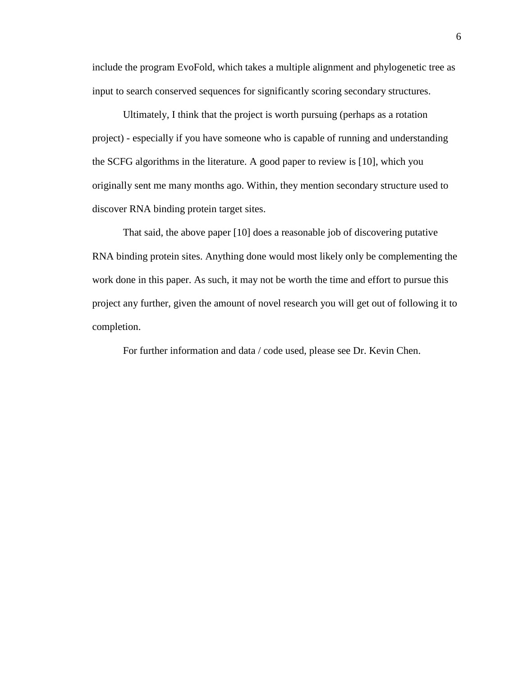include the program EvoFold, which takes a multiple alignment and phylogenetic tree as input to search conserved sequences for significantly scoring secondary structures.

Ultimately, I think that the project is worth pursuing (perhaps as a rotation project) - especially if you have someone who is capable of running and understanding the SCFG algorithms in the literature. A good paper to review is [10], which you originally sent me many months ago. Within, they mention secondary structure used to discover RNA binding protein target sites.

That said, the above paper [10] does a reasonable job of discovering putative RNA binding protein sites. Anything done would most likely only be complementing the work done in this paper. As such, it may not be worth the time and effort to pursue this project any further, given the amount of novel research you will get out of following it to completion.

For further information and data / code used, please see Dr. Kevin Chen.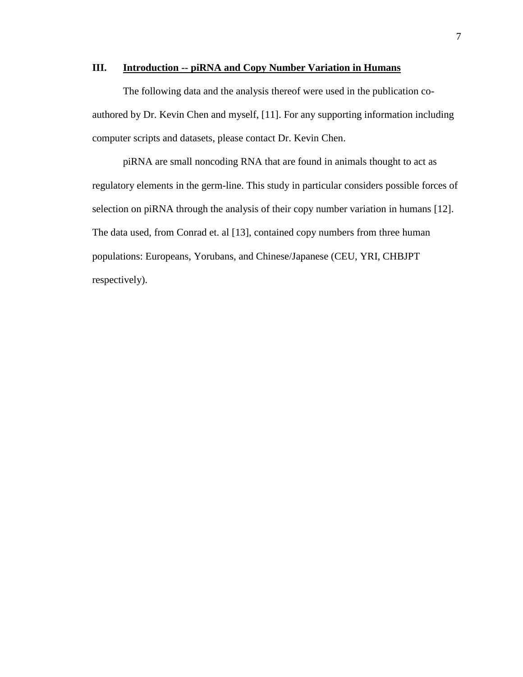### **III. Introduction -- piRNA and Copy Number Variation in Humans**

The following data and the analysis thereof were used in the publication coauthored by Dr. Kevin Chen and myself, [11]. For any supporting information including computer scripts and datasets, please contact Dr. Kevin Chen.

piRNA are small noncoding RNA that are found in animals thought to act as regulatory elements in the germ-line. This study in particular considers possible forces of selection on piRNA through the analysis of their copy number variation in humans [12]. The data used, from Conrad et. al [13], contained copy numbers from three human populations: Europeans, Yorubans, and Chinese/Japanese (CEU, YRI, CHBJPT respectively).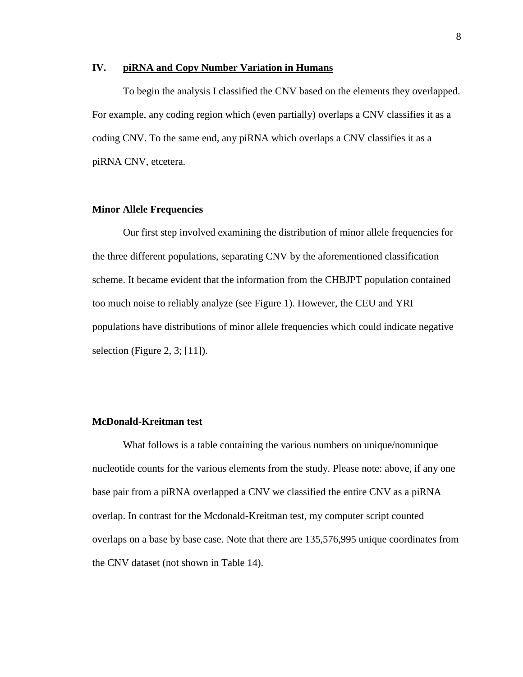#### **IV. piRNA and Copy Number Variation in Humans**

To begin the analysis I classified the CNV based on the elements they overlapped. For example, any coding region which (even partially) overlaps a CNV classifies it as a coding CNV. To the same end, any piRNA which overlaps a CNV classifies it as a piRNA CNV, etcetera.

#### **Minor Allele Frequencies**

Our first step involved examining the distribution of minor allele frequencies for the three different populations, separating CNV by the aforementioned classification scheme. It became evident that the information from the CHBJPT population contained too much noise to reliably analyze (see Figure 1). However, the CEU and YRI populations have distributions of minor allele frequencies which could indicate negative selection (Figure 2, 3; [11]).

### **McDonald-Kreitman test**

What follows is a table containing the various numbers on unique/nonunique nucleotide counts for the various elements from the study. Please note: above, if any one base pair from a piRNA overlapped a CNV we classified the entire CNV as a piRNA overlap. In contrast for the Mcdonald-Kreitman test, my computer script counted overlaps on a base by base case. Note that there are 135,576,995 unique coordinates from the CNV dataset (not shown in Table 14).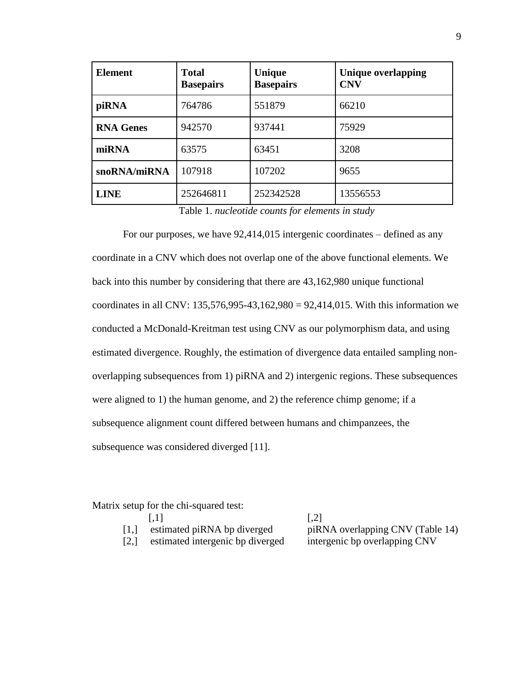| <b>Element</b>   | <b>Total</b><br><b>Basepairs</b> | Unique<br><b>Basepairs</b> | <b>Unique overlapping</b><br><b>CNV</b> |
|------------------|----------------------------------|----------------------------|-----------------------------------------|
| piRNA            | 764786                           | 551879                     | 66210                                   |
| <b>RNA Genes</b> | 942570                           | 937441                     | 75929                                   |
| miRNA            | 63575                            | 63451                      | 3208                                    |
| snoRNA/miRNA     | 107918                           | 107202                     | 9655                                    |
| <b>LINE</b>      | 252646811                        | 252342528                  | 13556553                                |

Table 1. *nucleotide counts for elements in study*

For our purposes, we have 92,414,015 intergenic coordinates – defined as any coordinate in a CNV which does not overlap one of the above functional elements. We back into this number by considering that there are 43,162,980 unique functional coordinates in all CNV:  $135,576,995-43,162,980 = 92,414,015$ . With this information we conducted a McDonald-Kreitman test using CNV as our polymorphism data, and using estimated divergence. Roughly, the estimation of divergence data entailed sampling nonoverlapping subsequences from 1) piRNA and 2) intergenic regions. These subsequences were aligned to 1) the human genome, and 2) the reference chimp genome; if a subsequence alignment count differed between humans and chimpanzees, the subsequence was considered diverged [11].

Matrix setup for the chi-squared test:

|                               | 1,11                             | $\vert .2 \vert$                 |
|-------------------------------|----------------------------------|----------------------------------|
| $\left\lceil 1, \right\rceil$ | estimated piRNA bp diverged      | piRNA overlapping CNV (Table 14) |
| [2,]                          | estimated intergenic bp diverged | intergenic bp overlapping CNV    |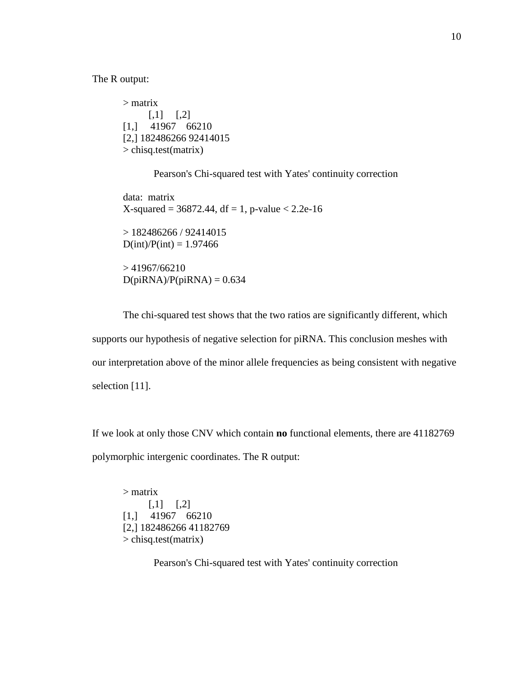The R output:

> matrix  $[,1]$   $[,2]$ [1,] 41967 66210 [2,] 182486266 92414015 > chisq.test(matrix)

Pearson's Chi-squared test with Yates' continuity correction

data: matrix  $X$ -squared = 36872.44, df = 1, p-value < 2.2e-16  $> 182486266 / 92414015$  $D(int)/P(int) = 1.97466$  $> 41967/66210$  $D(piRNA)/P(piRNA) = 0.634$ 

The chi-squared test shows that the two ratios are significantly different, which supports our hypothesis of negative selection for piRNA. This conclusion meshes with our interpretation above of the minor allele frequencies as being consistent with negative selection [11].

If we look at only those CNV which contain **no** functional elements, there are 41182769 polymorphic intergenic coordinates. The R output:

> matrix  $[0,1]$   $[0,2]$ [1,] 41967 66210 [2,] 182486266 41182769 > chisq.test(matrix)

Pearson's Chi-squared test with Yates' continuity correction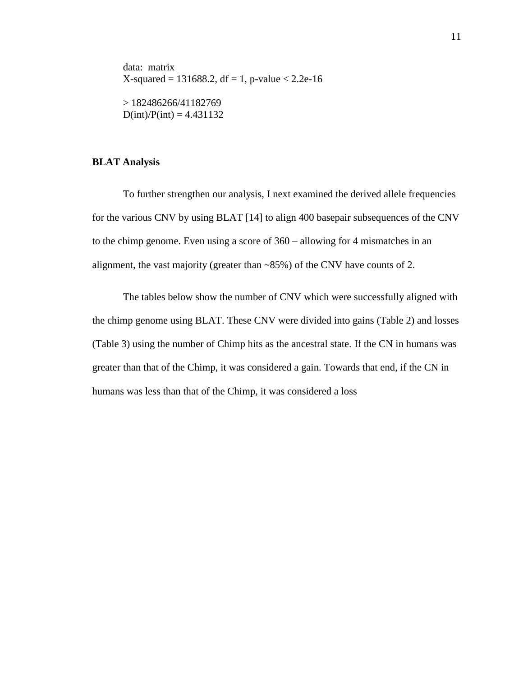data: matrix  $X$ -squared = 131688.2, df = 1, p-value < 2.2e-16 > 182486266/41182769  $D(int)/P(int) = 4.431132$ 

### **BLAT Analysis**

To further strengthen our analysis, I next examined the derived allele frequencies for the various CNV by using BLAT [14] to align 400 basepair subsequences of the CNV to the chimp genome. Even using a score of 360 – allowing for 4 mismatches in an alignment, the vast majority (greater than  $\sim 85\%$ ) of the CNV have counts of 2.

The tables below show the number of CNV which were successfully aligned with the chimp genome using BLAT. These CNV were divided into gains (Table 2) and losses (Table 3) using the number of Chimp hits as the ancestral state. If the CN in humans was greater than that of the Chimp, it was considered a gain. Towards that end, if the CN in humans was less than that of the Chimp, it was considered a loss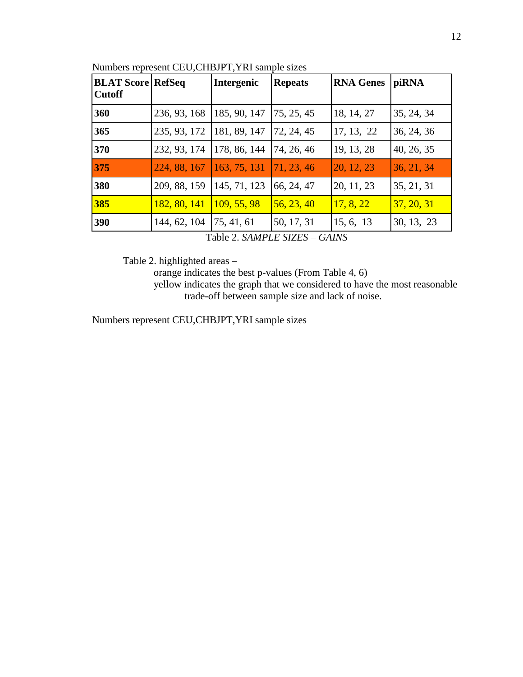| <b>BLAT Score RefSeq</b><br><b>Cutoff</b> |              | Intergenic   | <b>Repeats</b>           | <b>RNA Genes</b> | piRNA      |
|-------------------------------------------|--------------|--------------|--------------------------|------------------|------------|
| 360                                       | 236, 93, 168 | 185, 90, 147 | 75, 25, 45               | 18, 14, 27       | 35, 24, 34 |
| 365                                       | 235, 93, 172 | 181, 89, 147 | 72, 24, 45               | 17, 13, 22       | 36, 24, 36 |
| 370                                       | 232, 93, 174 | 178, 86, 144 | 74, 26, 46               | 19, 13, 28       | 40, 26, 35 |
| 375                                       | 224, 88, 167 | 163, 75, 131 | $\vert 71, 23, 46 \vert$ | 20, 12, 23       | 36, 21, 34 |
| 380                                       | 209, 88, 159 | 145, 71, 123 | 66, 24, 47               | 20, 11, 23       | 35, 21, 31 |
| 385                                       | 182, 80, 141 | 109, 55, 98  | 56, 23, 40               | 17, 8, 22        | 37, 20, 31 |
| 390                                       | 144, 62, 104 | 75, 41, 61   | 50, 17, 31               | 15, 6, 13        | 30, 13, 23 |

Numbers represent CEU,CHBJPT,YRI sample sizes

Table 2. *SAMPLE SIZES – GAINS*

Table 2. highlighted areas –

orange indicates the best p-values (From Table 4, 6)

yellow indicates the graph that we considered to have the most reasonable trade-off between sample size and lack of noise.

Numbers represent CEU,CHBJPT,YRI sample sizes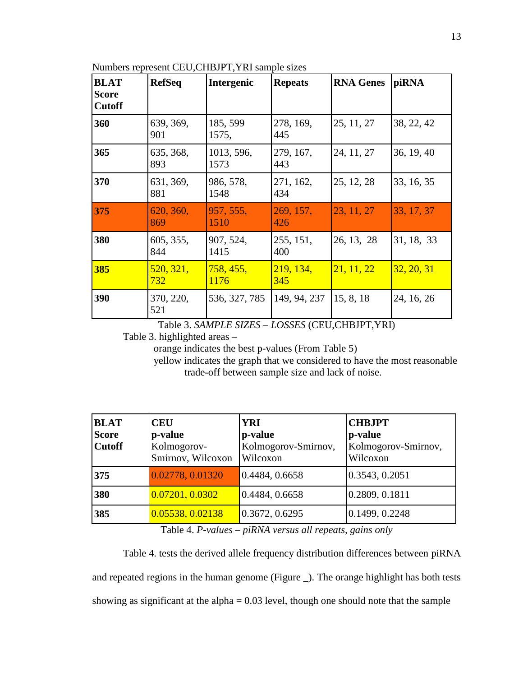Numbers represent CEU,CHBJPT,YRI sample sizes

| <b>BLAT</b><br><b>Score</b><br><b>Cutoff</b> | <b>RefSeq</b>    | Intergenic         | <b>Repeats</b>   | <b>RNA Genes</b> | piRNA      |
|----------------------------------------------|------------------|--------------------|------------------|------------------|------------|
| 360                                          | 639, 369,<br>901 | 185, 599<br>1575,  | 278, 169,<br>445 | 25, 11, 27       | 38, 22, 42 |
| 365                                          | 635, 368,<br>893 | 1013, 596,<br>1573 | 279, 167,<br>443 | 24, 11, 27       | 36, 19, 40 |
| 370                                          | 631, 369,<br>881 | 986, 578,<br>1548  | 271, 162,<br>434 | 25, 12, 28       | 33, 16, 35 |
| 375                                          | 620, 360,<br>869 | 957, 555,<br>1510  | 269, 157,<br>426 | 23, 11, 27       | 33, 17, 37 |
| 380                                          | 605, 355,<br>844 | 907, 524,<br>1415  | 255, 151,<br>400 | 26, 13, 28       | 31, 18, 33 |
| 385                                          | 520, 321,<br>732 | 758, 455,<br>1176  | 219, 134,<br>345 | 21, 11, 22       | 32, 20, 31 |
| 390                                          | 370, 220,<br>521 | 536, 327, 785      | 149, 94, 237     | 15, 8, 18        | 24, 16, 26 |

Table 3. *SAMPLE SIZES – LOSSES* (CEU,CHBJPT,YRI)

Table 3. highlighted areas –

orange indicates the best p-values (From Table 5)

yellow indicates the graph that we considered to have the most reasonable trade-off between sample size and lack of noise.

| <b>BLAT</b><br><b>Score</b><br><b>Cutoff</b> | <b>CEU</b><br>p-value<br>Kolmogorov-<br>Smirnov, Wilcoxon | <b>YRI</b><br>p-value<br>Kolmogorov-Smirnov,<br>Wilcoxon | <b>CHBJPT</b><br>p-value<br>Kolmogorov-Smirnov,<br>Wilcoxon |
|----------------------------------------------|-----------------------------------------------------------|----------------------------------------------------------|-------------------------------------------------------------|
| 375                                          | 0.02778, 0.01320                                          | 0.4484, 0.6658                                           | 0.3543, 0.2051                                              |
| 380                                          | 0.07201, 0.0302                                           | 0.4484, 0.6658                                           | 0.2809, 0.1811                                              |
| 385                                          | 0.05538, 0.02138                                          | 0.3672, 0.6295                                           | 0.1499, 0.2248                                              |

Table 4. *P-values – piRNA versus all repeats, gains only*

Table 4. tests the derived allele frequency distribution differences between piRNA and repeated regions in the human genome (Figure \_). The orange highlight has both tests showing as significant at the alpha  $= 0.03$  level, though one should note that the sample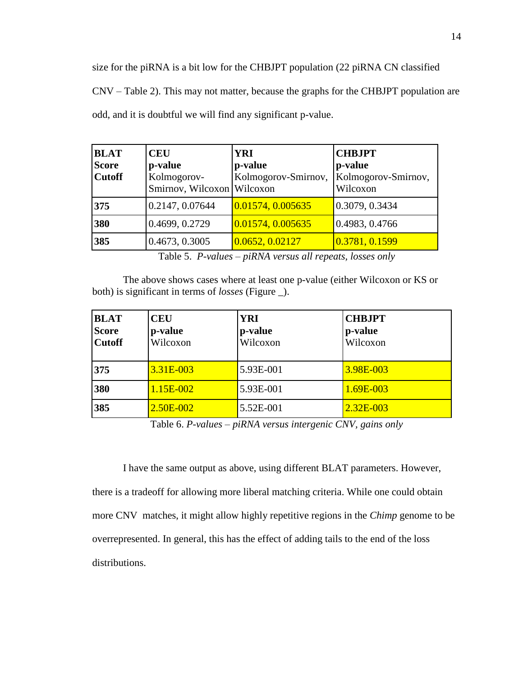size for the piRNA is a bit low for the CHBJPT population (22 piRNA CN classified CNV – Table 2). This may not matter, because the graphs for the CHBJPT population are odd, and it is doubtful we will find any significant p-value.

| <b>BLAT</b><br><b>Score</b><br><b>Cutoff</b> | <b>CEU</b><br>p-value<br>Kolmogorov-<br>Smirnov, Wilcoxon Wilcoxon | <b>YRI</b><br>p-value<br>Kolmogorov-Smirnov, | <b>CHBJPT</b><br>p-value<br>Kolmogorov-Smirnov,<br>Wilcoxon |
|----------------------------------------------|--------------------------------------------------------------------|----------------------------------------------|-------------------------------------------------------------|
| 375                                          | 0.2147, 0.07644                                                    | $\big  0.01574, 0.005635 \big $              | 0.3079, 0.3434                                              |
| 380                                          | 0.4699, 0.2729                                                     | 0.01574, 0.005635                            | 0.4983, 0.4766                                              |
| 385                                          | 0.4673, 0.3005                                                     | 0.0652, 0.02127                              | 0.3781, 0.1599                                              |

Table 5. *P-values – piRNA versus all repeats, losses only*

The above shows cases where at least one p-value (either Wilcoxon or KS or both) is significant in terms of *losses* (Figure \_).

| <b>BLAT</b><br><b>Score</b><br><b>Cutoff</b> | <b>CEU</b><br>p-value<br>Wilcoxon | <b>YRI</b><br>p-value<br>Wilcoxon | <b>CHBJPT</b><br>p-value<br>Wilcoxon |
|----------------------------------------------|-----------------------------------|-----------------------------------|--------------------------------------|
| 375                                          | $3.31E - 003$                     | 5.93E-001                         | 3.98E-003                            |
| 380                                          | 1.15E-002                         | 5.93E-001                         | 1.69E-003                            |
| 385                                          | 2.50E-002                         | 5.52E-001                         | 2.32E-003                            |

Table 6. *P-values – piRNA versus intergenic CNV, gains only*

I have the same output as above, using different BLAT parameters. However, there is a tradeoff for allowing more liberal matching criteria. While one could obtain more CNV matches, it might allow highly repetitive regions in the *Chimp* genome to be overrepresented. In general, this has the effect of adding tails to the end of the loss distributions.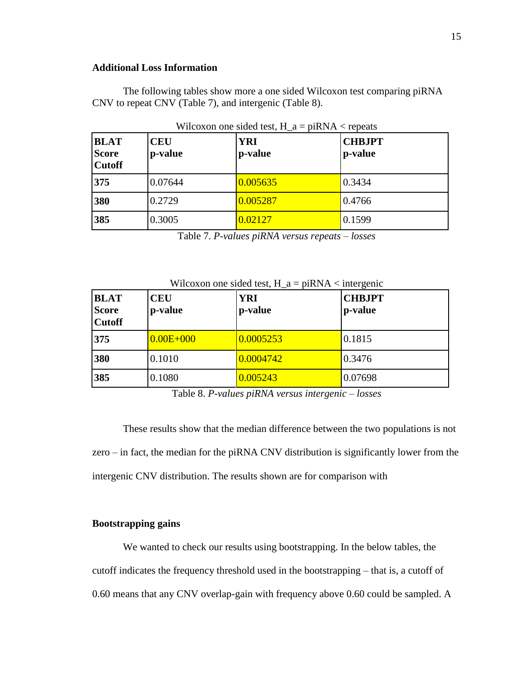### **Additional Loss Information**

The following tables show more a one sided Wilcoxon test comparing piRNA CNV to repeat CNV (Table 7), and intergenic (Table 8).

| <b>BLAT</b><br><b>Score</b><br><b>Cutoff</b> | <b>CEU</b><br>p-value | <b>YRI</b><br>p-value | <b>CHBJPT</b><br>p-value |
|----------------------------------------------|-----------------------|-----------------------|--------------------------|
| 375                                          | 0.07644               | 0.005635              | 0.3434                   |
| 380                                          | 0.2729                | 0.005287              | 0.4766                   |
| 385                                          | 0.3005                | 0.02127               | 0.1599                   |

Wilcoxon one sided test,  $H_a = \pi RNA <$  repeats

Table 7. *P-values piRNA versus repeats – losses*

| <b>BLAT</b><br><b>Score</b><br><b>Cutoff</b> | <b>CEU</b><br>p-value | <b>YRI</b><br>p-value | <b>CHBJPT</b><br>p-value |
|----------------------------------------------|-----------------------|-----------------------|--------------------------|
| 375                                          | $0.00E + 000$         | 0.0005253             | 0.1815                   |
| 380                                          | 0.1010                | 0.0004742             | 0.3476                   |
| 385                                          | 0.1080                | 0.005243              | 0.07698                  |

Wilcoxon one sided test,  $H_a = piRNA <$  intergenic

Table 8. *P-values piRNA versus intergenic – losses*

These results show that the median difference between the two populations is not zero – in fact, the median for the piRNA CNV distribution is significantly lower from the intergenic CNV distribution. The results shown are for comparison with

### **Bootstrapping gains**

We wanted to check our results using bootstrapping. In the below tables, the cutoff indicates the frequency threshold used in the bootstrapping – that is, a cutoff of 0.60 means that any CNV overlap-gain with frequency above 0.60 could be sampled. A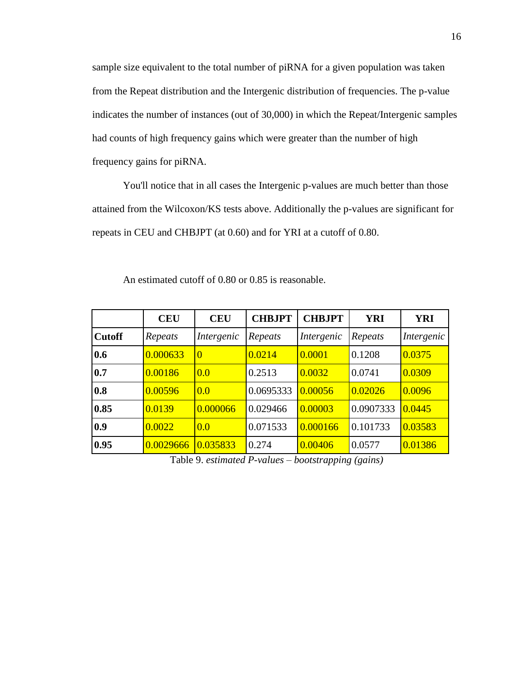sample size equivalent to the total number of piRNA for a given population was taken from the Repeat distribution and the Intergenic distribution of frequencies. The p-value indicates the number of instances (out of 30,000) in which the Repeat/Intergenic samples had counts of high frequency gains which were greater than the number of high frequency gains for piRNA.

You'll notice that in all cases the Intergenic p-values are much better than those attained from the Wilcoxon/KS tests above. Additionally the p-values are significant for repeats in CEU and CHBJPT (at 0.60) and for YRI at a cutoff of 0.80.

|               | <b>CEU</b> | <b>CEU</b>     | <b>CHBJPT</b> | <b>CHBJPT</b> | <b>YRI</b> | <b>YRI</b> |
|---------------|------------|----------------|---------------|---------------|------------|------------|
| <b>Cutoff</b> | Repeats    | Intergenic     | Repeats       | Intergenic    | Repeats    | Intergenic |
| 0.6           | 0.000633   | $\overline{0}$ | 0.0214        | 0.0001        | 0.1208     | 0.0375     |
| 0.7           | 0.00186    | 0.0            | 0.2513        | 0.0032        | 0.0741     | 0.0309     |
| 0.8           | 0.00596    | 0.0            | 0.0695333     | 0.00056       | 0.02026    | 0.0096     |
| 0.85          | 0.0139     | 0.000066       | 0.029466      | 0.00003       | 0.0907333  | 0.0445     |
| $\bf{0.9}$    | 0.0022     | 0.0            | 0.071533      | 0.000166      | 0.101733   | 0.03583    |
| 0.95          | 0.0029666  | 0.035833       | 0.274         | 0.00406       | 0.0577     | 0.01386    |

An estimated cutoff of 0.80 or 0.85 is reasonable.

Table 9. *estimated P-values – bootstrapping (gains)*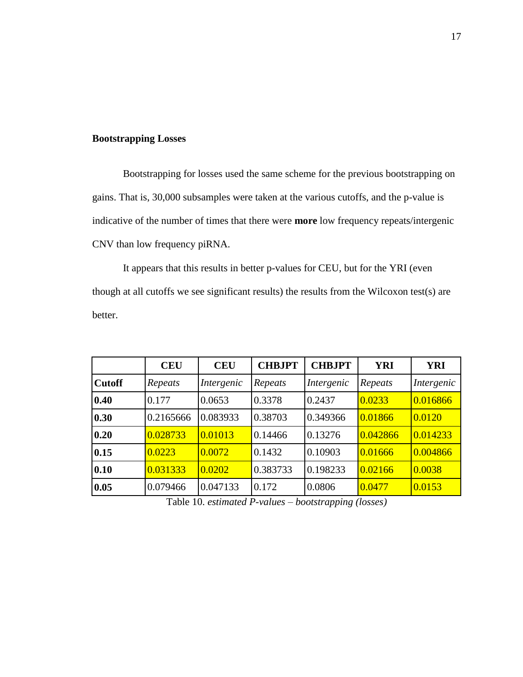### **Bootstrapping Losses**

Bootstrapping for losses used the same scheme for the previous bootstrapping on gains. That is, 30,000 subsamples were taken at the various cutoffs, and the p-value is indicative of the number of times that there were **more** low frequency repeats/intergenic CNV than low frequency piRNA.

It appears that this results in better p-values for CEU, but for the YRI (even though at all cutoffs we see significant results) the results from the Wilcoxon test(s) are better.

|               | <b>CEU</b> | <b>CEU</b> | <b>CHBJPT</b> | <b>CHBJPT</b> | <b>YRI</b> | <b>YRI</b> |
|---------------|------------|------------|---------------|---------------|------------|------------|
| <b>Cutoff</b> | Repeats    | Intergenic | Repeats       | Intergenic    | Repeats    | Intergenic |
| 0.40          | 0.177      | 0.0653     | 0.3378        | 0.2437        | 0.0233     | 0.016866   |
| 0.30          | 0.2165666  | 0.083933   | 0.38703       | 0.349366      | 0.01866    | 0.0120     |
| 0.20          | 0.028733   | 0.01013    | 0.14466       | 0.13276       | 0.042866   | 0.014233   |
| 0.15          | 0.0223     | 0.0072     | 0.1432        | 0.10903       | 0.01666    | 0.004866   |
| 0.10          | 0.031333   | 0.0202     | 0.383733      | 0.198233      | 0.02166    | 0.0038     |
| 0.05          | 0.079466   | 0.047133   | 0.172         | 0.0806        | 0.0477     | 0.0153     |

Table 10. *estimated P-values – bootstrapping (losses)*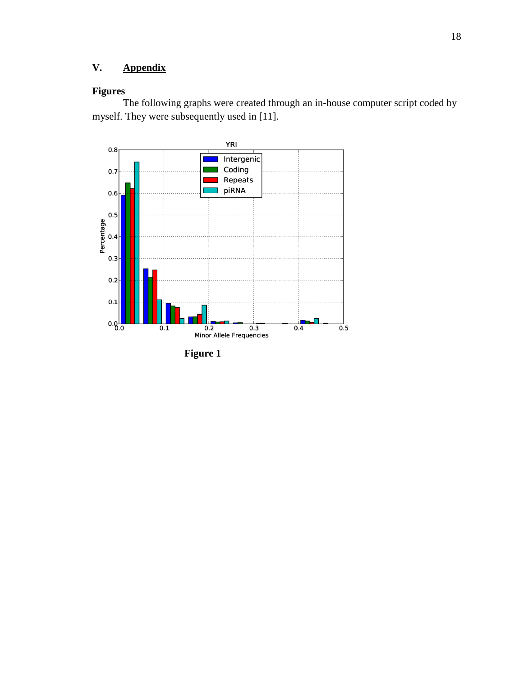# **V. Appendix**

# **Figures**

The following graphs were created through an in-house computer script coded by myself. They were subsequently used in [11].



**Figure 1**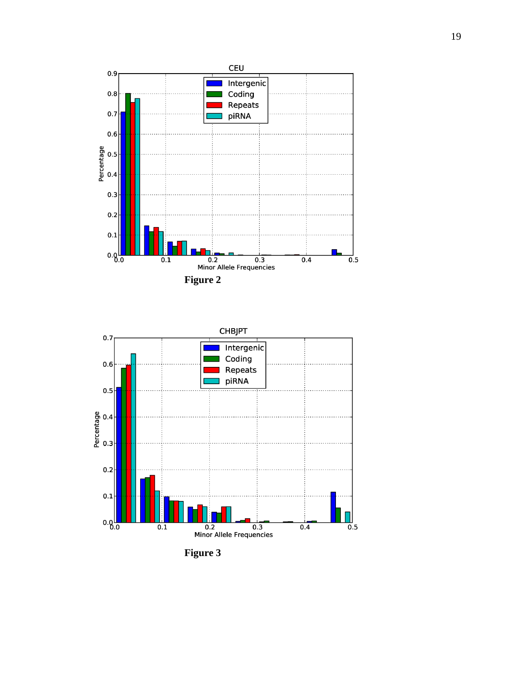



**Figure 3**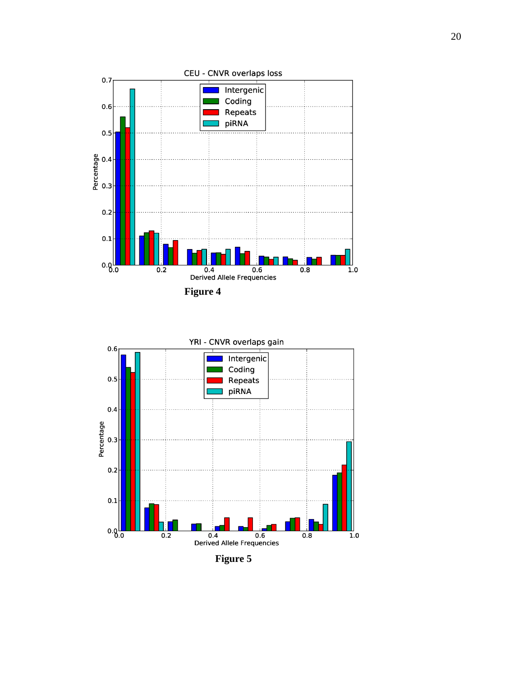



**Figure 5**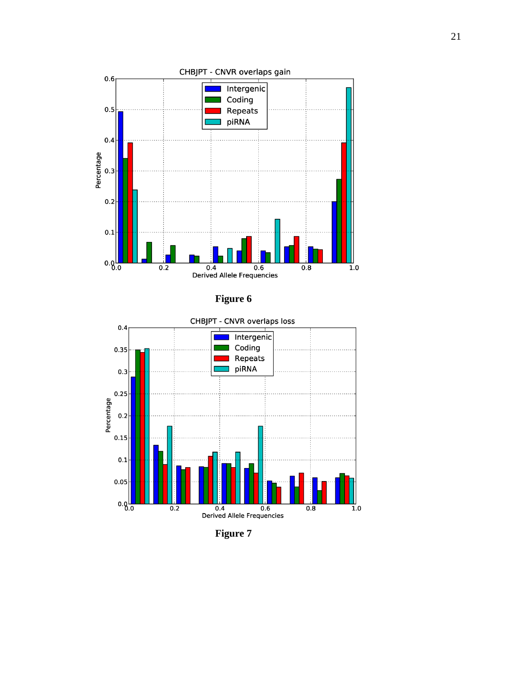

**Figure 6**



**Figure 7**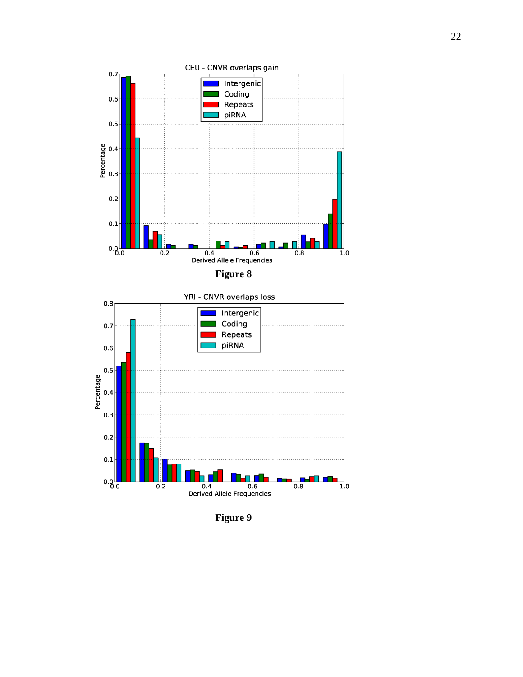

**Figure 9**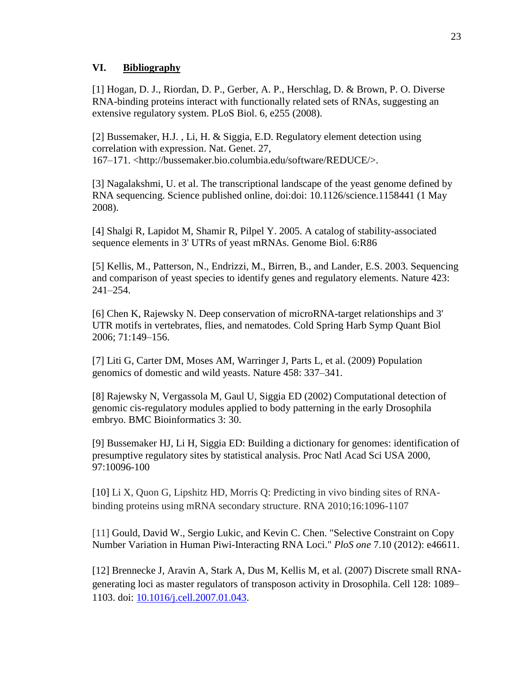### **VI. Bibliography**

[1] Hogan, D. J., Riordan, D. P., Gerber, A. P., Herschlag, D. & Brown, P. O. Diverse RNA-binding proteins interact with functionally related sets of RNAs, suggesting an extensive regulatory system. PLoS Biol. 6, e255 (2008).

[2] Bussemaker, H.J. , Li, H. & Siggia, E.D. Regulatory element detection using correlation with expression. Nat. Genet. 27, 167–171. <http://bussemaker.bio.columbia.edu/software/REDUCE/>.

[3] Nagalakshmi, U. et al. The transcriptional landscape of the yeast genome defined by RNA sequencing. Science published online, doi:doi: 10.1126/science.1158441 (1 May 2008).

[4] Shalgi R, Lapidot M, Shamir R, Pilpel Y. 2005. A catalog of stability-associated sequence elements in 3' UTRs of yeast mRNAs. Genome Biol. 6:R86

[5] Kellis, M., Patterson, N., Endrizzi, M., Birren, B., and Lander, E.S. 2003. Sequencing and comparison of yeast species to identify genes and regulatory elements. Nature 423: 241–254.

[6] Chen K, Rajewsky N. Deep conservation of microRNA-target relationships and 3' UTR motifs in vertebrates, flies, and nematodes. Cold Spring Harb Symp Quant Biol 2006; 71:149–156.

[7] Liti G, Carter DM, Moses AM, Warringer J, Parts L, et al. (2009) Population genomics of domestic and wild yeasts. Nature 458: 337–341.

[8] Rajewsky N, Vergassola M, Gaul U, Siggia ED (2002) Computational detection of genomic cis-regulatory modules applied to body patterning in the early Drosophila embryo. BMC Bioinformatics 3: 30.

[9] Bussemaker HJ, Li H, Siggia ED: Building a dictionary for genomes: identification of presumptive regulatory sites by statistical analysis. Proc Natl Acad Sci USA 2000, 97:10096-100

[10] Li X, Quon G, Lipshitz HD, Morris Q: Predicting in vivo binding sites of RNAbinding proteins using mRNA secondary structure. RNA 2010;16:1096-1107

[11] Gould, David W., Sergio Lukic, and Kevin C. Chen. "Selective Constraint on Copy Number Variation in Human Piwi-Interacting RNA Loci." *PloS one* 7.10 (2012): e46611.

[12] Brennecke J, Aravin A, Stark A, Dus M, Kellis M, et al. (2007) Discrete small RNAgenerating loci as master regulators of transposon activity in Drosophila. Cell 128: 1089– 1103. doi: [10.1016/j.cell.2007.01.043.](http://dx.doi.org/10.1016/j.cell.2007.01.043)